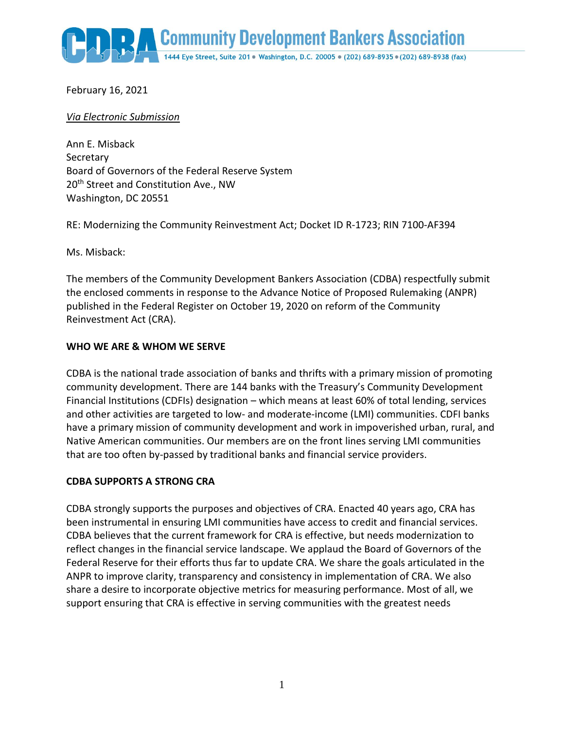**Community Development Bankers Association** 

1444 Eye Street, Suite 201 · Washington, D.C. 20005 · (202) 689-8935 · (202) 689-8938 (fax)

February 16, 2021

#### *Via Electronic Submission*

Ann E. Misback **Secretary** Board of Governors of the Federal Reserve System 20<sup>th</sup> Street and Constitution Ave., NW Washington, DC 20551

RE: Modernizing the Community Reinvestment Act; Docket ID R-1723; RIN 7100-AF394

Ms. Misback:

The members of the Community Development Bankers Association (CDBA) respectfully submit the enclosed comments in response to the Advance Notice of Proposed Rulemaking (ANPR) published in the Federal Register on October 19, 2020 on reform of the Community Reinvestment Act (CRA).

#### **WHO WE ARE & WHOM WE SERVE**

CDBA is the national trade association of banks and thrifts with a primary mission of promoting community development. There are 144 banks with the Treasury's Community Development Financial Institutions (CDFIs) designation – which means at least 60% of total lending, services and other activities are targeted to low- and moderate-income (LMI) communities. CDFI banks have a primary mission of community development and work in impoverished urban, rural, and Native American communities. Our members are on the front lines serving LMI communities that are too often by-passed by traditional banks and financial service providers.

### **CDBA SUPPORTS A STRONG CRA**

CDBA strongly supports the purposes and objectives of CRA. Enacted 40 years ago, CRA has been instrumental in ensuring LMI communities have access to credit and financial services. CDBA believes that the current framework for CRA is effective, but needs modernization to reflect changes in the financial service landscape. We applaud the Board of Governors of the Federal Reserve for their efforts thus far to update CRA. We share the goals articulated in the ANPR to improve clarity, transparency and consistency in implementation of CRA. We also share a desire to incorporate objective metrics for measuring performance. Most of all, we support ensuring that CRA is effective in serving communities with the greatest needs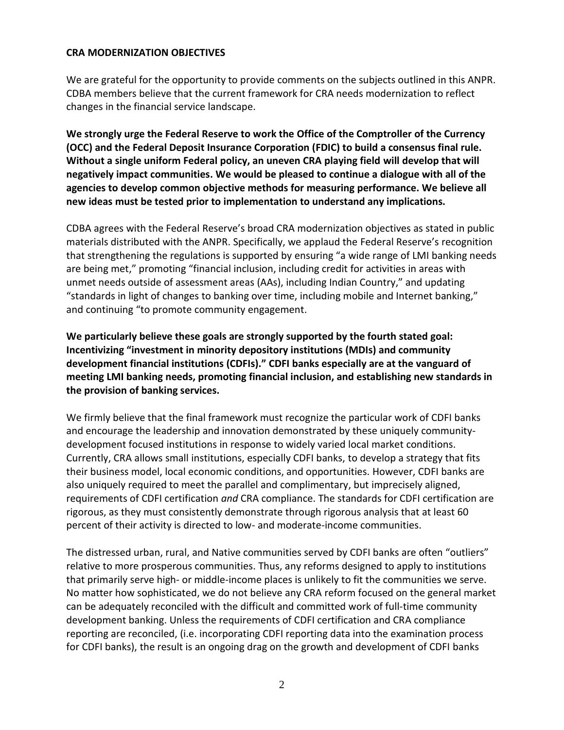#### **CRA MODERNIZATION OBJECTIVES**

We are grateful for the opportunity to provide comments on the subjects outlined in this ANPR. CDBA members believe that the current framework for CRA needs modernization to reflect changes in the financial service landscape.

**We strongly urge the Federal Reserve to work the Office of the Comptroller of the Currency (OCC) and the Federal Deposit Insurance Corporation (FDIC) to build a consensus final rule. Without a single uniform Federal policy, an uneven CRA playing field will develop that will negatively impact communities. We would be pleased to continue a dialogue with all of the agencies to develop common objective methods for measuring performance. We believe all new ideas must be tested prior to implementation to understand any implications.**

CDBA agrees with the Federal Reserve's broad CRA modernization objectives as stated in public materials distributed with the ANPR. Specifically, we applaud the Federal Reserve's recognition that strengthening the regulations is supported by ensuring "a wide range of LMI banking needs are being met," promoting "financial inclusion, including credit for activities in areas with unmet needs outside of assessment areas (AAs), including Indian Country," and updating "standards in light of changes to banking over time, including mobile and Internet banking," and continuing "to promote community engagement.

**We particularly believe these goals are strongly supported by the fourth stated goal: Incentivizing "investment in minority depository institutions (MDIs) and community development financial institutions (CDFIs)." CDFI banks especially are at the vanguard of meeting LMI banking needs, promoting financial inclusion, and establishing new standards in the provision of banking services.**

We firmly believe that the final framework must recognize the particular work of CDFI banks and encourage the leadership and innovation demonstrated by these uniquely communitydevelopment focused institutions in response to widely varied local market conditions. Currently, CRA allows small institutions, especially CDFI banks, to develop a strategy that fits their business model, local economic conditions, and opportunities. However, CDFI banks are also uniquely required to meet the parallel and complimentary, but imprecisely aligned, requirements of CDFI certification *and* CRA compliance. The standards for CDFI certification are rigorous, as they must consistently demonstrate through rigorous analysis that at least 60 percent of their activity is directed to low- and moderate-income communities.

The distressed urban, rural, and Native communities served by CDFI banks are often "outliers" relative to more prosperous communities. Thus, any reforms designed to apply to institutions that primarily serve high- or middle-income places is unlikely to fit the communities we serve. No matter how sophisticated, we do not believe any CRA reform focused on the general market can be adequately reconciled with the difficult and committed work of full-time community development banking. Unless the requirements of CDFI certification and CRA compliance reporting are reconciled, (i.e. incorporating CDFI reporting data into the examination process for CDFI banks), the result is an ongoing drag on the growth and development of CDFI banks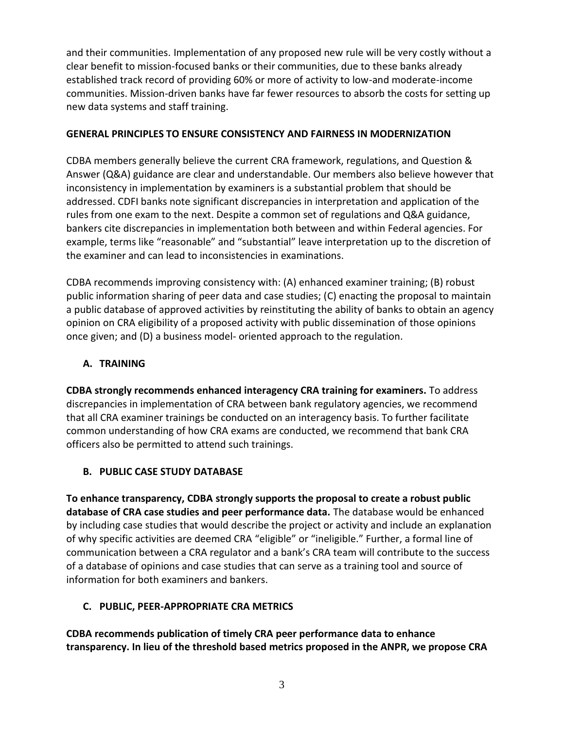and their communities. Implementation of any proposed new rule will be very costly without a clear benefit to mission-focused banks or their communities, due to these banks already established track record of providing 60% or more of activity to low-and moderate-income communities. Mission-driven banks have far fewer resources to absorb the costs for setting up new data systems and staff training.

## **GENERAL PRINCIPLES TO ENSURE CONSISTENCY AND FAIRNESS IN MODERNIZATION**

CDBA members generally believe the current CRA framework, regulations, and Question & Answer (Q&A) guidance are clear and understandable. Our members also believe however that inconsistency in implementation by examiners is a substantial problem that should be addressed. CDFI banks note significant discrepancies in interpretation and application of the rules from one exam to the next. Despite a common set of regulations and Q&A guidance, bankers cite discrepancies in implementation both between and within Federal agencies. For example, terms like "reasonable" and "substantial" leave interpretation up to the discretion of the examiner and can lead to inconsistencies in examinations.

CDBA recommends improving consistency with: (A) enhanced examiner training; (B) robust public information sharing of peer data and case studies; (C) enacting the proposal to maintain a public database of approved activities by reinstituting the ability of banks to obtain an agency opinion on CRA eligibility of a proposed activity with public dissemination of those opinions once given; and (D) a business model- oriented approach to the regulation.

## **A. TRAINING**

**CDBA strongly recommends enhanced interagency CRA training for examiners.** To address discrepancies in implementation of CRA between bank regulatory agencies, we recommend that all CRA examiner trainings be conducted on an interagency basis. To further facilitate common understanding of how CRA exams are conducted, we recommend that bank CRA officers also be permitted to attend such trainings.

# **B. PUBLIC CASE STUDY DATABASE**

**To enhance transparency, CDBA strongly supports the proposal to create a robust public database of CRA case studies and peer performance data.** The database would be enhanced by including case studies that would describe the project or activity and include an explanation of why specific activities are deemed CRA "eligible" or "ineligible." Further, a formal line of communication between a CRA regulator and a bank's CRA team will contribute to the success of a database of opinions and case studies that can serve as a training tool and source of information for both examiners and bankers.

# **C. PUBLIC, PEER-APPROPRIATE CRA METRICS**

**CDBA recommends publication of timely CRA peer performance data to enhance transparency. In lieu of the threshold based metrics proposed in the ANPR, we propose CRA**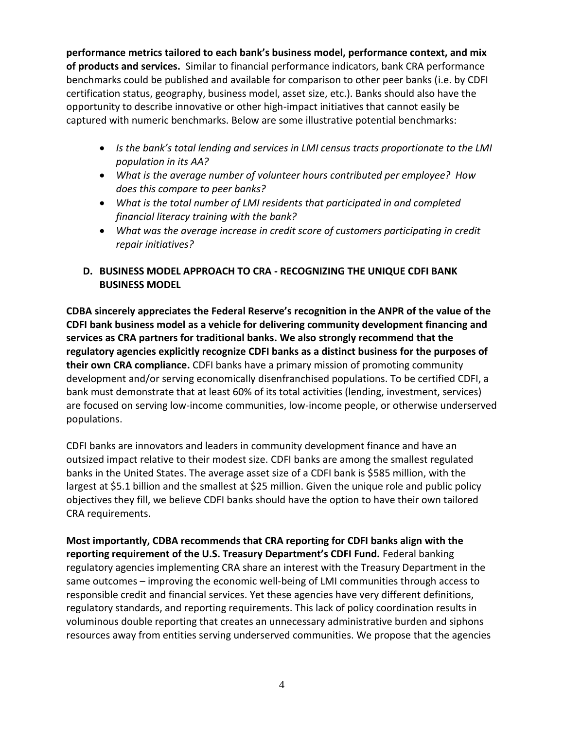**performance metrics tailored to each bank's business model, performance context, and mix of products and services.** Similar to financial performance indicators, bank CRA performance benchmarks could be published and available for comparison to other peer banks (i.e. by CDFI certification status, geography, business model, asset size, etc.). Banks should also have the opportunity to describe innovative or other high-impact initiatives that cannot easily be captured with numeric benchmarks. Below are some illustrative potential benchmarks:

- *Is the bank's total lending and services in LMI census tracts proportionate to the LMI population in its AA?*
- *What is the average number of volunteer hours contributed per employee? How does this compare to peer banks?*
- *What is the total number of LMI residents that participated in and completed financial literacy training with the bank?*
- *What was the average increase in credit score of customers participating in credit repair initiatives?*

## **D. BUSINESS MODEL APPROACH TO CRA - RECOGNIZING THE UNIQUE CDFI BANK BUSINESS MODEL**

**CDBA sincerely appreciates the Federal Reserve's recognition in the ANPR of the value of the CDFI bank business model as a vehicle for delivering community development financing and services as CRA partners for traditional banks. We also strongly recommend that the regulatory agencies explicitly recognize CDFI banks as a distinct business for the purposes of their own CRA compliance.** CDFI banks have a primary mission of promoting community development and/or serving economically disenfranchised populations. To be certified CDFI, a bank must demonstrate that at least 60% of its total activities (lending, investment, services) are focused on serving low-income communities, low-income people, or otherwise underserved populations.

CDFI banks are innovators and leaders in community development finance and have an outsized impact relative to their modest size. CDFI banks are among the smallest regulated banks in the United States. The average asset size of a CDFI bank is \$585 million, with the largest at \$5.1 billion and the smallest at \$25 million. Given the unique role and public policy objectives they fill, we believe CDFI banks should have the option to have their own tailored CRA requirements.

**Most importantly, CDBA recommends that CRA reporting for CDFI banks align with the reporting requirement of the U.S. Treasury Department's CDFI Fund.** Federal banking regulatory agencies implementing CRA share an interest with the Treasury Department in the same outcomes – improving the economic well-being of LMI communities through access to responsible credit and financial services. Yet these agencies have very different definitions, regulatory standards, and reporting requirements. This lack of policy coordination results in voluminous double reporting that creates an unnecessary administrative burden and siphons resources away from entities serving underserved communities. We propose that the agencies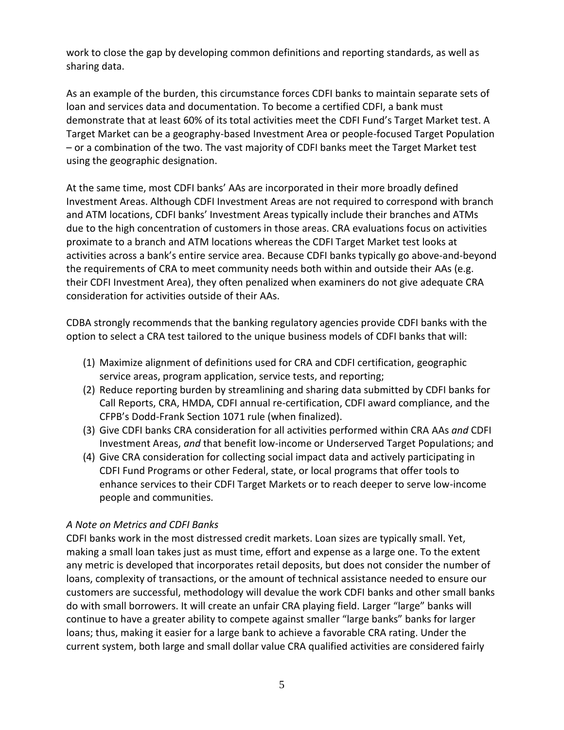work to close the gap by developing common definitions and reporting standards, as well as sharing data.

As an example of the burden, this circumstance forces CDFI banks to maintain separate sets of loan and services data and documentation. To become a certified CDFI, a bank must demonstrate that at least 60% of its total activities meet the CDFI Fund's Target Market test. A Target Market can be a geography-based Investment Area or people-focused Target Population – or a combination of the two. The vast majority of CDFI banks meet the Target Market test using the geographic designation.

At the same time, most CDFI banks' AAs are incorporated in their more broadly defined Investment Areas. Although CDFI Investment Areas are not required to correspond with branch and ATM locations, CDFI banks' Investment Areas typically include their branches and ATMs due to the high concentration of customers in those areas. CRA evaluations focus on activities proximate to a branch and ATM locations whereas the CDFI Target Market test looks at activities across a bank's entire service area. Because CDFI banks typically go above-and-beyond the requirements of CRA to meet community needs both within and outside their AAs (e.g. their CDFI Investment Area), they often penalized when examiners do not give adequate CRA consideration for activities outside of their AAs.

CDBA strongly recommends that the banking regulatory agencies provide CDFI banks with the option to select a CRA test tailored to the unique business models of CDFI banks that will:

- (1) Maximize alignment of definitions used for CRA and CDFI certification, geographic service areas, program application, service tests, and reporting;
- (2) Reduce reporting burden by streamlining and sharing data submitted by CDFI banks for Call Reports, CRA, HMDA, CDFI annual re-certification, CDFI award compliance, and the CFPB's Dodd-Frank Section 1071 rule (when finalized).
- (3) Give CDFI banks CRA consideration for all activities performed within CRA AAs *and* CDFI Investment Areas, *and* that benefit low-income or Underserved Target Populations; and
- (4) Give CRA consideration for collecting social impact data and actively participating in CDFI Fund Programs or other Federal, state, or local programs that offer tools to enhance services to their CDFI Target Markets or to reach deeper to serve low-income people and communities.

### *A Note on Metrics and CDFI Banks*

CDFI banks work in the most distressed credit markets. Loan sizes are typically small. Yet, making a small loan takes just as must time, effort and expense as a large one. To the extent any metric is developed that incorporates retail deposits, but does not consider the number of loans, complexity of transactions, or the amount of technical assistance needed to ensure our customers are successful, methodology will devalue the work CDFI banks and other small banks do with small borrowers. It will create an unfair CRA playing field. Larger "large" banks will continue to have a greater ability to compete against smaller "large banks" banks for larger loans; thus, making it easier for a large bank to achieve a favorable CRA rating. Under the current system, both large and small dollar value CRA qualified activities are considered fairly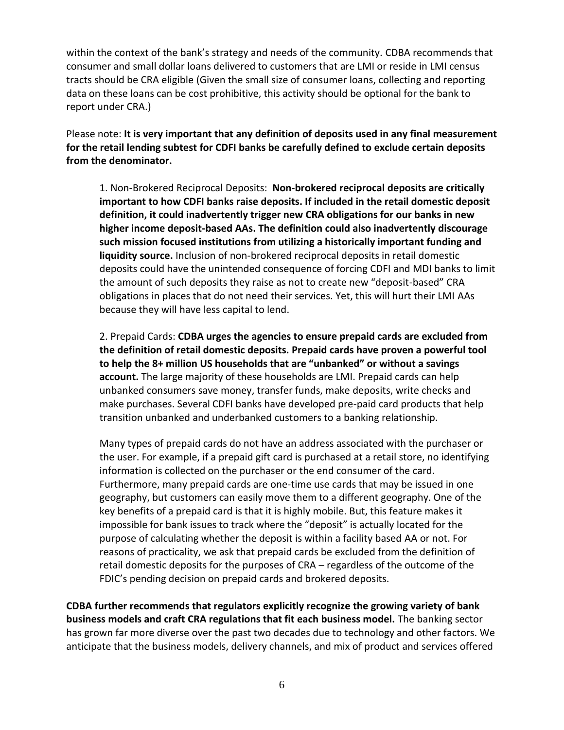within the context of the bank's strategy and needs of the community. CDBA recommends that consumer and small dollar loans delivered to customers that are LMI or reside in LMI census tracts should be CRA eligible (Given the small size of consumer loans, collecting and reporting data on these loans can be cost prohibitive, this activity should be optional for the bank to report under CRA.)

Please note: **It is very important that any definition of deposits used in any final measurement for the retail lending subtest for CDFI banks be carefully defined to exclude certain deposits from the denominator.**

1. Non-Brokered Reciprocal Deposits: **Non-brokered reciprocal deposits are critically important to how CDFI banks raise deposits. If included in the retail domestic deposit definition, it could inadvertently trigger new CRA obligations for our banks in new higher income deposit-based AAs. The definition could also inadvertently discourage such mission focused institutions from utilizing a historically important funding and liquidity source.** Inclusion of non-brokered reciprocal deposits in retail domestic deposits could have the unintended consequence of forcing CDFI and MDI banks to limit the amount of such deposits they raise as not to create new "deposit-based" CRA obligations in places that do not need their services. Yet, this will hurt their LMI AAs because they will have less capital to lend.

2. Prepaid Cards: **CDBA urges the agencies to ensure prepaid cards are excluded from the definition of retail domestic deposits. Prepaid cards have proven a powerful tool to help the 8+ million US households that are "unbanked" or without a savings account.** The large majority of these households are LMI. Prepaid cards can help unbanked consumers save money, transfer funds, make deposits, write checks and make purchases. Several CDFI banks have developed pre-paid card products that help transition unbanked and underbanked customers to a banking relationship.

Many types of prepaid cards do not have an address associated with the purchaser or the user. For example, if a prepaid gift card is purchased at a retail store, no identifying information is collected on the purchaser or the end consumer of the card. Furthermore, many prepaid cards are one-time use cards that may be issued in one geography, but customers can easily move them to a different geography. One of the key benefits of a prepaid card is that it is highly mobile. But, this feature makes it impossible for bank issues to track where the "deposit" is actually located for the purpose of calculating whether the deposit is within a facility based AA or not. For reasons of practicality, we ask that prepaid cards be excluded from the definition of retail domestic deposits for the purposes of CRA – regardless of the outcome of the FDIC's pending decision on prepaid cards and brokered deposits.

**CDBA further recommends that regulators explicitly recognize the growing variety of bank business models and craft CRA regulations that fit each business model.** The banking sector has grown far more diverse over the past two decades due to technology and other factors. We anticipate that the business models, delivery channels, and mix of product and services offered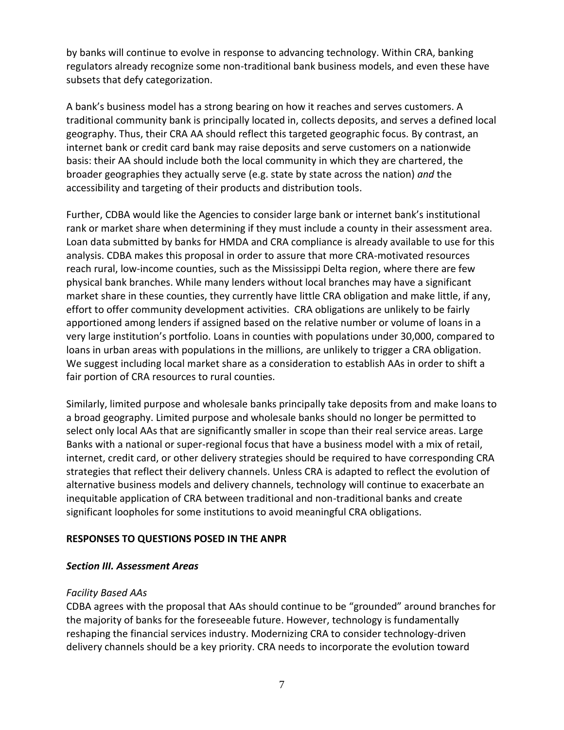by banks will continue to evolve in response to advancing technology. Within CRA, banking regulators already recognize some non-traditional bank business models, and even these have subsets that defy categorization.

A bank's business model has a strong bearing on how it reaches and serves customers. A traditional community bank is principally located in, collects deposits, and serves a defined local geography. Thus, their CRA AA should reflect this targeted geographic focus. By contrast, an internet bank or credit card bank may raise deposits and serve customers on a nationwide basis: their AA should include both the local community in which they are chartered, the broader geographies they actually serve (e.g. state by state across the nation) *and* the accessibility and targeting of their products and distribution tools.

Further, CDBA would like the Agencies to consider large bank or internet bank's institutional rank or market share when determining if they must include a county in their assessment area. Loan data submitted by banks for HMDA and CRA compliance is already available to use for this analysis. CDBA makes this proposal in order to assure that more CRA-motivated resources reach rural, low-income counties, such as the Mississippi Delta region, where there are few physical bank branches. While many lenders without local branches may have a significant market share in these counties, they currently have little CRA obligation and make little, if any, effort to offer community development activities. CRA obligations are unlikely to be fairly apportioned among lenders if assigned based on the relative number or volume of loans in a very large institution's portfolio. Loans in counties with populations under 30,000, compared to loans in urban areas with populations in the millions, are unlikely to trigger a CRA obligation. We suggest including local market share as a consideration to establish AAs in order to shift a fair portion of CRA resources to rural counties.

Similarly, limited purpose and wholesale banks principally take deposits from and make loans to a broad geography. Limited purpose and wholesale banks should no longer be permitted to select only local AAs that are significantly smaller in scope than their real service areas. Large Banks with a national or super-regional focus that have a business model with a mix of retail, internet, credit card, or other delivery strategies should be required to have corresponding CRA strategies that reflect their delivery channels. Unless CRA is adapted to reflect the evolution of alternative business models and delivery channels, technology will continue to exacerbate an inequitable application of CRA between traditional and non-traditional banks and create significant loopholes for some institutions to avoid meaningful CRA obligations.

### **RESPONSES TO QUESTIONS POSED IN THE ANPR**

### *Section III. Assessment Areas*

### *Facility Based AAs*

CDBA agrees with the proposal that AAs should continue to be "grounded" around branches for the majority of banks for the foreseeable future. However, technology is fundamentally reshaping the financial services industry. Modernizing CRA to consider technology-driven delivery channels should be a key priority. CRA needs to incorporate the evolution toward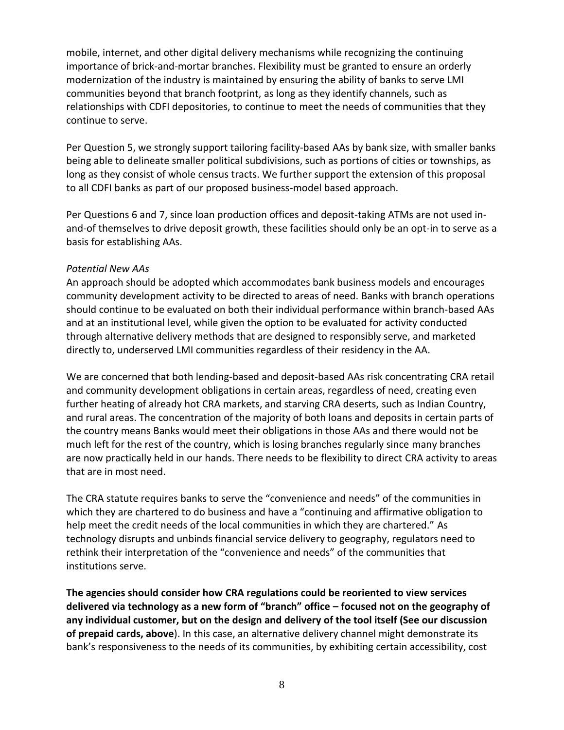mobile, internet, and other digital delivery mechanisms while recognizing the continuing importance of brick-and-mortar branches. Flexibility must be granted to ensure an orderly modernization of the industry is maintained by ensuring the ability of banks to serve LMI communities beyond that branch footprint, as long as they identify channels, such as relationships with CDFI depositories, to continue to meet the needs of communities that they continue to serve.

Per Question 5, we strongly support tailoring facility-based AAs by bank size, with smaller banks being able to delineate smaller political subdivisions, such as portions of cities or townships, as long as they consist of whole census tracts. We further support the extension of this proposal to all CDFI banks as part of our proposed business-model based approach.

Per Questions 6 and 7, since loan production offices and deposit-taking ATMs are not used inand-of themselves to drive deposit growth, these facilities should only be an opt-in to serve as a basis for establishing AAs.

#### *Potential New AAs*

An approach should be adopted which accommodates bank business models and encourages community development activity to be directed to areas of need. Banks with branch operations should continue to be evaluated on both their individual performance within branch-based AAs and at an institutional level, while given the option to be evaluated for activity conducted through alternative delivery methods that are designed to responsibly serve, and marketed directly to, underserved LMI communities regardless of their residency in the AA.

We are concerned that both lending-based and deposit-based AAs risk concentrating CRA retail and community development obligations in certain areas, regardless of need, creating even further heating of already hot CRA markets, and starving CRA deserts, such as Indian Country, and rural areas. The concentration of the majority of both loans and deposits in certain parts of the country means Banks would meet their obligations in those AAs and there would not be much left for the rest of the country, which is losing branches regularly since many branches are now practically held in our hands. There needs to be flexibility to direct CRA activity to areas that are in most need.

The CRA statute requires banks to serve the "convenience and needs" of the communities in which they are chartered to do business and have a "continuing and affirmative obligation to help meet the credit needs of the local communities in which they are chartered." As technology disrupts and unbinds financial service delivery to geography, regulators need to rethink their interpretation of the "convenience and needs" of the communities that institutions serve.

**The agencies should consider how CRA regulations could be reoriented to view services delivered via technology as a new form of "branch" office – focused not on the geography of any individual customer, but on the design and delivery of the tool itself (See our discussion of prepaid cards, above**). In this case, an alternative delivery channel might demonstrate its bank's responsiveness to the needs of its communities, by exhibiting certain accessibility, cost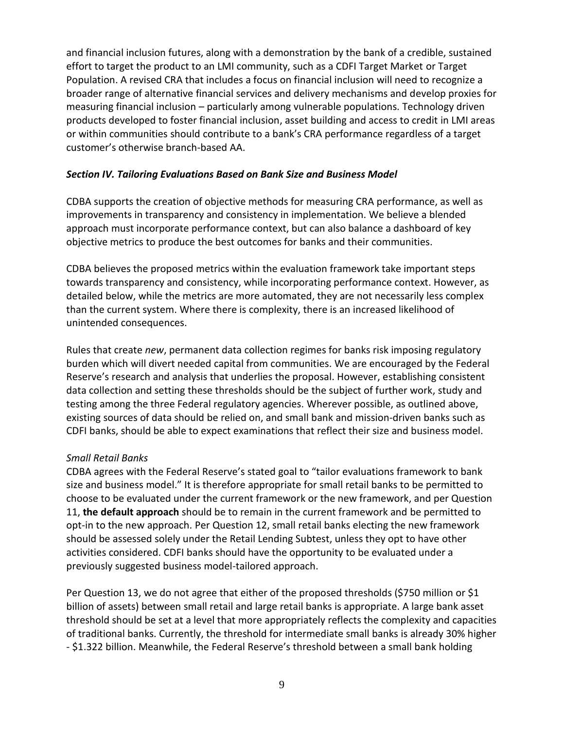and financial inclusion futures, along with a demonstration by the bank of a credible, sustained effort to target the product to an LMI community, such as a CDFI Target Market or Target Population. A revised CRA that includes a focus on financial inclusion will need to recognize a broader range of alternative financial services and delivery mechanisms and develop proxies for measuring financial inclusion – particularly among vulnerable populations. Technology driven products developed to foster financial inclusion, asset building and access to credit in LMI areas or within communities should contribute to a bank's CRA performance regardless of a target customer's otherwise branch-based AA.

#### *Section IV. Tailoring Evaluations Based on Bank Size and Business Model*

CDBA supports the creation of objective methods for measuring CRA performance, as well as improvements in transparency and consistency in implementation. We believe a blended approach must incorporate performance context, but can also balance a dashboard of key objective metrics to produce the best outcomes for banks and their communities.

CDBA believes the proposed metrics within the evaluation framework take important steps towards transparency and consistency, while incorporating performance context. However, as detailed below, while the metrics are more automated, they are not necessarily less complex than the current system. Where there is complexity, there is an increased likelihood of unintended consequences.

Rules that create *new*, permanent data collection regimes for banks risk imposing regulatory burden which will divert needed capital from communities. We are encouraged by the Federal Reserve's research and analysis that underlies the proposal. However, establishing consistent data collection and setting these thresholds should be the subject of further work, study and testing among the three Federal regulatory agencies. Wherever possible, as outlined above, existing sources of data should be relied on, and small bank and mission-driven banks such as CDFI banks, should be able to expect examinations that reflect their size and business model.

### *Small Retail Banks*

CDBA agrees with the Federal Reserve's stated goal to "tailor evaluations framework to bank size and business model." It is therefore appropriate for small retail banks to be permitted to choose to be evaluated under the current framework or the new framework, and per Question 11, **the default approach** should be to remain in the current framework and be permitted to opt-in to the new approach. Per Question 12, small retail banks electing the new framework should be assessed solely under the Retail Lending Subtest, unless they opt to have other activities considered. CDFI banks should have the opportunity to be evaluated under a previously suggested business model-tailored approach.

Per Question 13, we do not agree that either of the proposed thresholds (\$750 million or \$1 billion of assets) between small retail and large retail banks is appropriate. A large bank asset threshold should be set at a level that more appropriately reflects the complexity and capacities of traditional banks. Currently, the threshold for intermediate small banks is already 30% higher - \$1.322 billion. Meanwhile, the Federal Reserve's threshold between a small bank holding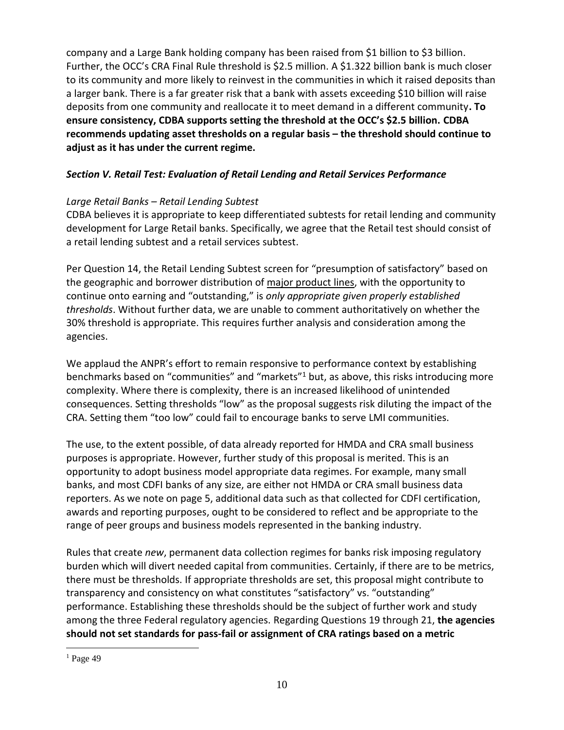company and a Large Bank holding company has been raised from \$1 billion to \$3 billion. Further, the OCC's CRA Final Rule threshold is \$2.5 million. A \$1.322 billion bank is much closer to its community and more likely to reinvest in the communities in which it raised deposits than a larger bank. There is a far greater risk that a bank with assets exceeding \$10 billion will raise deposits from one community and reallocate it to meet demand in a different community**. To ensure consistency, CDBA supports setting the threshold at the OCC's \$2.5 billion. CDBA recommends updating asset thresholds on a regular basis – the threshold should continue to adjust as it has under the current regime.**

## *Section V. Retail Test: Evaluation of Retail Lending and Retail Services Performance*

### *Large Retail Banks – Retail Lending Subtest*

CDBA believes it is appropriate to keep differentiated subtests for retail lending and community development for Large Retail banks. Specifically, we agree that the Retail test should consist of a retail lending subtest and a retail services subtest.

Per Question 14, the Retail Lending Subtest screen for "presumption of satisfactory" based on the geographic and borrower distribution of major product lines, with the opportunity to continue onto earning and "outstanding," is *only appropriate given properly established thresholds*. Without further data, we are unable to comment authoritatively on whether the 30% threshold is appropriate. This requires further analysis and consideration among the agencies.

We applaud the ANPR's effort to remain responsive to performance context by establishing benchmarks based on "communities" and "markets"<sup>1</sup> but, as above, this risks introducing more complexity. Where there is complexity, there is an increased likelihood of unintended consequences. Setting thresholds "low" as the proposal suggests risk diluting the impact of the CRA. Setting them "too low" could fail to encourage banks to serve LMI communities.

The use, to the extent possible, of data already reported for HMDA and CRA small business purposes is appropriate. However, further study of this proposal is merited. This is an opportunity to adopt business model appropriate data regimes. For example, many small banks, and most CDFI banks of any size, are either not HMDA or CRA small business data reporters. As we note on page 5, additional data such as that collected for CDFI certification, awards and reporting purposes, ought to be considered to reflect and be appropriate to the range of peer groups and business models represented in the banking industry.

Rules that create *new*, permanent data collection regimes for banks risk imposing regulatory burden which will divert needed capital from communities. Certainly, if there are to be metrics, there must be thresholds. If appropriate thresholds are set, this proposal might contribute to transparency and consistency on what constitutes "satisfactory" vs. "outstanding" performance. Establishing these thresholds should be the subject of further work and study among the three Federal regulatory agencies. Regarding Questions 19 through 21, **the agencies should not set standards for pass-fail or assignment of CRA ratings based on a metric** 

 $\overline{a}$ 

 $<sup>1</sup>$  Page 49</sup>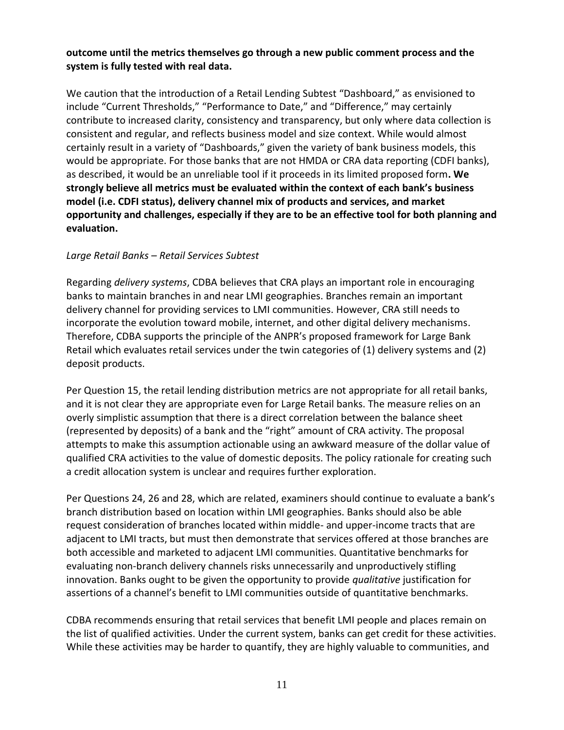### **outcome until the metrics themselves go through a new public comment process and the system is fully tested with real data.**

We caution that the introduction of a Retail Lending Subtest "Dashboard," as envisioned to include "Current Thresholds," "Performance to Date," and "Difference," may certainly contribute to increased clarity, consistency and transparency, but only where data collection is consistent and regular, and reflects business model and size context. While would almost certainly result in a variety of "Dashboards," given the variety of bank business models, this would be appropriate. For those banks that are not HMDA or CRA data reporting (CDFI banks), as described, it would be an unreliable tool if it proceeds in its limited proposed form**. We strongly believe all metrics must be evaluated within the context of each bank's business model (i.e. CDFI status), delivery channel mix of products and services, and market opportunity and challenges, especially if they are to be an effective tool for both planning and evaluation.**

#### *Large Retail Banks – Retail Services Subtest*

Regarding *delivery systems*, CDBA believes that CRA plays an important role in encouraging banks to maintain branches in and near LMI geographies. Branches remain an important delivery channel for providing services to LMI communities. However, CRA still needs to incorporate the evolution toward mobile, internet, and other digital delivery mechanisms. Therefore, CDBA supports the principle of the ANPR's proposed framework for Large Bank Retail which evaluates retail services under the twin categories of (1) delivery systems and (2) deposit products.

Per Question 15, the retail lending distribution metrics are not appropriate for all retail banks, and it is not clear they are appropriate even for Large Retail banks. The measure relies on an overly simplistic assumption that there is a direct correlation between the balance sheet (represented by deposits) of a bank and the "right" amount of CRA activity. The proposal attempts to make this assumption actionable using an awkward measure of the dollar value of qualified CRA activities to the value of domestic deposits. The policy rationale for creating such a credit allocation system is unclear and requires further exploration.

Per Questions 24, 26 and 28, which are related, examiners should continue to evaluate a bank's branch distribution based on location within LMI geographies. Banks should also be able request consideration of branches located within middle- and upper-income tracts that are adjacent to LMI tracts, but must then demonstrate that services offered at those branches are both accessible and marketed to adjacent LMI communities. Quantitative benchmarks for evaluating non-branch delivery channels risks unnecessarily and unproductively stifling innovation. Banks ought to be given the opportunity to provide *qualitative* justification for assertions of a channel's benefit to LMI communities outside of quantitative benchmarks.

CDBA recommends ensuring that retail services that benefit LMI people and places remain on the list of qualified activities. Under the current system, banks can get credit for these activities. While these activities may be harder to quantify, they are highly valuable to communities, and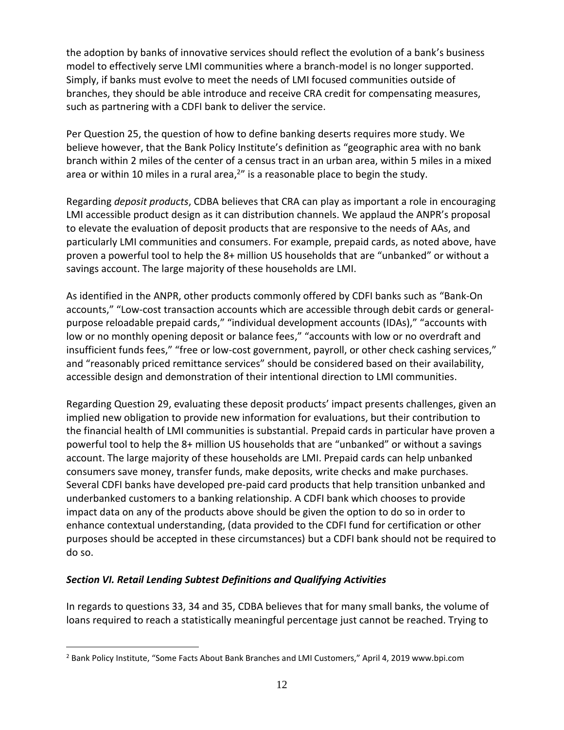the adoption by banks of innovative services should reflect the evolution of a bank's business model to effectively serve LMI communities where a branch-model is no longer supported. Simply, if banks must evolve to meet the needs of LMI focused communities outside of branches, they should be able introduce and receive CRA credit for compensating measures, such as partnering with a CDFI bank to deliver the service.

Per Question 25, the question of how to define banking deserts requires more study. We believe however, that the Bank Policy Institute's definition as "geographic area with no bank branch within 2 miles of the center of a census tract in an urban area, within 5 miles in a mixed area or within 10 miles in a rural area,<sup>2</sup>" is a reasonable place to begin the study.

Regarding *deposit products*, CDBA believes that CRA can play as important a role in encouraging LMI accessible product design as it can distribution channels. We applaud the ANPR's proposal to elevate the evaluation of deposit products that are responsive to the needs of AAs, and particularly LMI communities and consumers. For example, prepaid cards, as noted above, have proven a powerful tool to help the 8+ million US households that are "unbanked" or without a savings account. The large majority of these households are LMI.

As identified in the ANPR, other products commonly offered by CDFI banks such as "Bank-On accounts," "Low-cost transaction accounts which are accessible through debit cards or generalpurpose reloadable prepaid cards," "individual development accounts (IDAs)," "accounts with low or no monthly opening deposit or balance fees," "accounts with low or no overdraft and insufficient funds fees," "free or low-cost government, payroll, or other check cashing services," and "reasonably priced remittance services" should be considered based on their availability, accessible design and demonstration of their intentional direction to LMI communities.

Regarding Question 29, evaluating these deposit products' impact presents challenges, given an implied new obligation to provide new information for evaluations, but their contribution to the financial health of LMI communities is substantial. Prepaid cards in particular have proven a powerful tool to help the 8+ million US households that are "unbanked" or without a savings account. The large majority of these households are LMI. Prepaid cards can help unbanked consumers save money, transfer funds, make deposits, write checks and make purchases. Several CDFI banks have developed pre-paid card products that help transition unbanked and underbanked customers to a banking relationship. A CDFI bank which chooses to provide impact data on any of the products above should be given the option to do so in order to enhance contextual understanding, (data provided to the CDFI fund for certification or other purposes should be accepted in these circumstances) but a CDFI bank should not be required to do so.

### *Section VI. Retail Lending Subtest Definitions and Qualifying Activities*

 $\overline{a}$ 

In regards to questions 33, 34 and 35, CDBA believes that for many small banks, the volume of loans required to reach a statistically meaningful percentage just cannot be reached. Trying to

<sup>2</sup> Bank Policy Institute, "Some Facts About Bank Branches and LMI Customers," April 4, 2019 www.bpi.com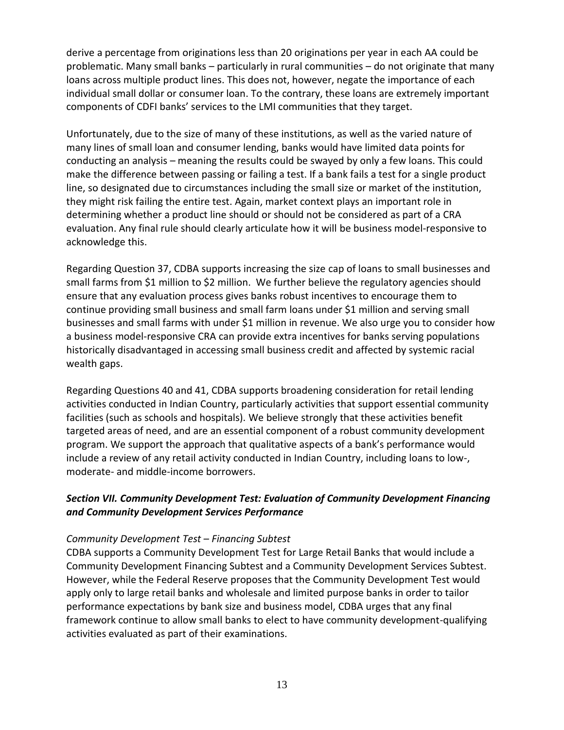derive a percentage from originations less than 20 originations per year in each AA could be problematic. Many small banks – particularly in rural communities – do not originate that many loans across multiple product lines. This does not, however, negate the importance of each individual small dollar or consumer loan. To the contrary, these loans are extremely important components of CDFI banks' services to the LMI communities that they target.

Unfortunately, due to the size of many of these institutions, as well as the varied nature of many lines of small loan and consumer lending, banks would have limited data points for conducting an analysis – meaning the results could be swayed by only a few loans. This could make the difference between passing or failing a test. If a bank fails a test for a single product line, so designated due to circumstances including the small size or market of the institution, they might risk failing the entire test. Again, market context plays an important role in determining whether a product line should or should not be considered as part of a CRA evaluation. Any final rule should clearly articulate how it will be business model-responsive to acknowledge this.

Regarding Question 37, CDBA supports increasing the size cap of loans to small businesses and small farms from \$1 million to \$2 million. We further believe the regulatory agencies should ensure that any evaluation process gives banks robust incentives to encourage them to continue providing small business and small farm loans under \$1 million and serving small businesses and small farms with under \$1 million in revenue. We also urge you to consider how a business model-responsive CRA can provide extra incentives for banks serving populations historically disadvantaged in accessing small business credit and affected by systemic racial wealth gaps.

Regarding Questions 40 and 41, CDBA supports broadening consideration for retail lending activities conducted in Indian Country, particularly activities that support essential community facilities (such as schools and hospitals). We believe strongly that these activities benefit targeted areas of need, and are an essential component of a robust community development program. We support the approach that qualitative aspects of a bank's performance would include a review of any retail activity conducted in Indian Country, including loans to low-, moderate- and middle-income borrowers.

## *Section VII. Community Development Test: Evaluation of Community Development Financing and Community Development Services Performance*

#### *Community Development Test – Financing Subtest*

CDBA supports a Community Development Test for Large Retail Banks that would include a Community Development Financing Subtest and a Community Development Services Subtest. However, while the Federal Reserve proposes that the Community Development Test would apply only to large retail banks and wholesale and limited purpose banks in order to tailor performance expectations by bank size and business model, CDBA urges that any final framework continue to allow small banks to elect to have community development-qualifying activities evaluated as part of their examinations.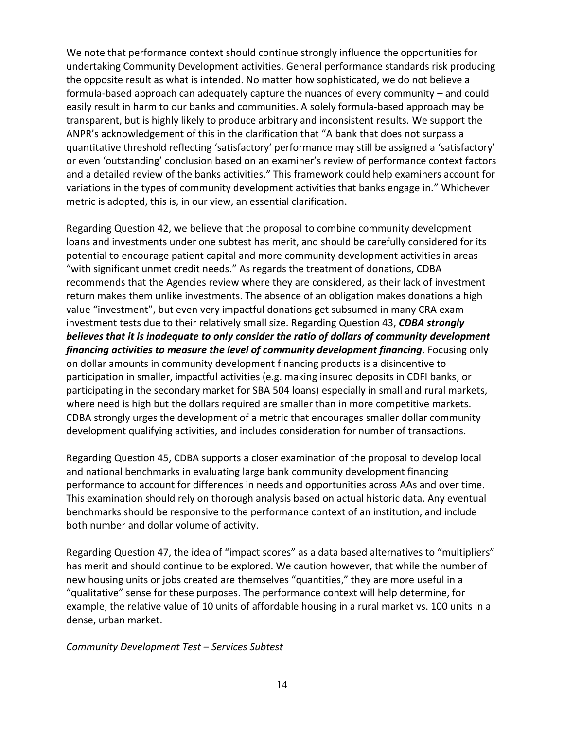We note that performance context should continue strongly influence the opportunities for undertaking Community Development activities. General performance standards risk producing the opposite result as what is intended. No matter how sophisticated, we do not believe a formula-based approach can adequately capture the nuances of every community – and could easily result in harm to our banks and communities. A solely formula-based approach may be transparent, but is highly likely to produce arbitrary and inconsistent results. We support the ANPR's acknowledgement of this in the clarification that "A bank that does not surpass a quantitative threshold reflecting 'satisfactory' performance may still be assigned a 'satisfactory' or even 'outstanding' conclusion based on an examiner's review of performance context factors and a detailed review of the banks activities." This framework could help examiners account for variations in the types of community development activities that banks engage in." Whichever metric is adopted, this is, in our view, an essential clarification.

Regarding Question 42, we believe that the proposal to combine community development loans and investments under one subtest has merit, and should be carefully considered for its potential to encourage patient capital and more community development activities in areas "with significant unmet credit needs." As regards the treatment of donations, CDBA recommends that the Agencies review where they are considered, as their lack of investment return makes them unlike investments. The absence of an obligation makes donations a high value "investment", but even very impactful donations get subsumed in many CRA exam investment tests due to their relatively small size. Regarding Question 43, *CDBA strongly believes that it is inadequate to only consider the ratio of dollars of community development financing activities to measure the level of community development financing*. Focusing only on dollar amounts in community development financing products is a disincentive to participation in smaller, impactful activities (e.g. making insured deposits in CDFI banks, or participating in the secondary market for SBA 504 loans) especially in small and rural markets, where need is high but the dollars required are smaller than in more competitive markets. CDBA strongly urges the development of a metric that encourages smaller dollar community development qualifying activities, and includes consideration for number of transactions.

Regarding Question 45, CDBA supports a closer examination of the proposal to develop local and national benchmarks in evaluating large bank community development financing performance to account for differences in needs and opportunities across AAs and over time. This examination should rely on thorough analysis based on actual historic data. Any eventual benchmarks should be responsive to the performance context of an institution, and include both number and dollar volume of activity.

Regarding Question 47, the idea of "impact scores" as a data based alternatives to "multipliers" has merit and should continue to be explored. We caution however, that while the number of new housing units or jobs created are themselves "quantities," they are more useful in a "qualitative" sense for these purposes. The performance context will help determine, for example, the relative value of 10 units of affordable housing in a rural market vs. 100 units in a dense, urban market.

*Community Development Test – Services Subtest*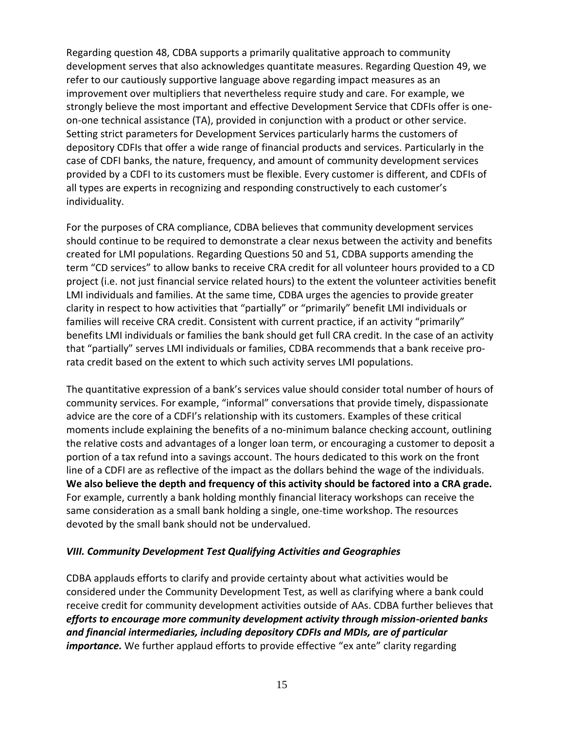Regarding question 48, CDBA supports a primarily qualitative approach to community development serves that also acknowledges quantitate measures. Regarding Question 49, we refer to our cautiously supportive language above regarding impact measures as an improvement over multipliers that nevertheless require study and care. For example, we strongly believe the most important and effective Development Service that CDFIs offer is oneon-one technical assistance (TA), provided in conjunction with a product or other service. Setting strict parameters for Development Services particularly harms the customers of depository CDFIs that offer a wide range of financial products and services. Particularly in the case of CDFI banks, the nature, frequency, and amount of community development services provided by a CDFI to its customers must be flexible. Every customer is different, and CDFIs of all types are experts in recognizing and responding constructively to each customer's individuality.

For the purposes of CRA compliance, CDBA believes that community development services should continue to be required to demonstrate a clear nexus between the activity and benefits created for LMI populations. Regarding Questions 50 and 51, CDBA supports amending the term "CD services" to allow banks to receive CRA credit for all volunteer hours provided to a CD project (i.e. not just financial service related hours) to the extent the volunteer activities benefit LMI individuals and families. At the same time, CDBA urges the agencies to provide greater clarity in respect to how activities that "partially" or "primarily" benefit LMI individuals or families will receive CRA credit. Consistent with current practice, if an activity "primarily" benefits LMI individuals or families the bank should get full CRA credit. In the case of an activity that "partially" serves LMI individuals or families, CDBA recommends that a bank receive prorata credit based on the extent to which such activity serves LMI populations.

The quantitative expression of a bank's services value should consider total number of hours of community services. For example, "informal" conversations that provide timely, dispassionate advice are the core of a CDFI's relationship with its customers. Examples of these critical moments include explaining the benefits of a no-minimum balance checking account, outlining the relative costs and advantages of a longer loan term, or encouraging a customer to deposit a portion of a tax refund into a savings account. The hours dedicated to this work on the front line of a CDFI are as reflective of the impact as the dollars behind the wage of the individuals. **We also believe the depth and frequency of this activity should be factored into a CRA grade.**  For example, currently a bank holding monthly financial literacy workshops can receive the same consideration as a small bank holding a single, one-time workshop. The resources devoted by the small bank should not be undervalued.

#### *VIII. Community Development Test Qualifying Activities and Geographies*

CDBA applauds efforts to clarify and provide certainty about what activities would be considered under the Community Development Test, as well as clarifying where a bank could receive credit for community development activities outside of AAs. CDBA further believes that *efforts to encourage more community development activity through mission-oriented banks and financial intermediaries, including depository CDFIs and MDIs, are of particular importance*. We further applaud efforts to provide effective "ex ante" clarity regarding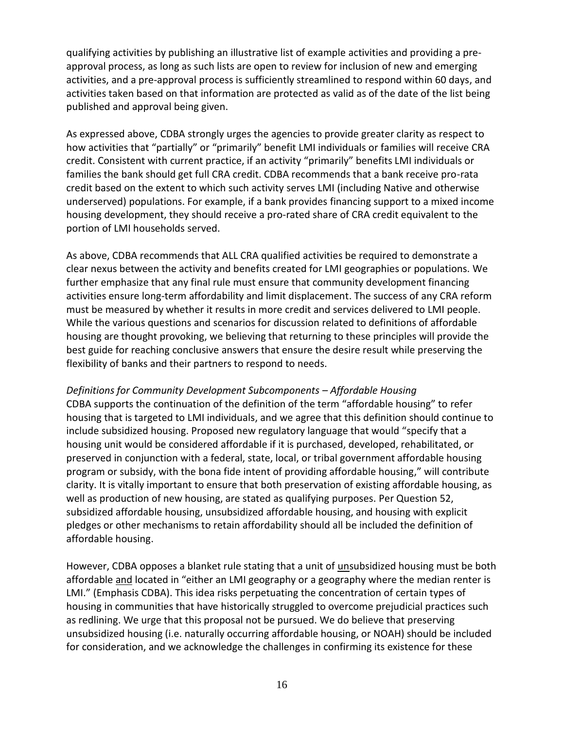qualifying activities by publishing an illustrative list of example activities and providing a preapproval process, as long as such lists are open to review for inclusion of new and emerging activities, and a pre-approval process is sufficiently streamlined to respond within 60 days, and activities taken based on that information are protected as valid as of the date of the list being published and approval being given.

As expressed above, CDBA strongly urges the agencies to provide greater clarity as respect to how activities that "partially" or "primarily" benefit LMI individuals or families will receive CRA credit. Consistent with current practice, if an activity "primarily" benefits LMI individuals or families the bank should get full CRA credit. CDBA recommends that a bank receive pro-rata credit based on the extent to which such activity serves LMI (including Native and otherwise underserved) populations. For example, if a bank provides financing support to a mixed income housing development, they should receive a pro-rated share of CRA credit equivalent to the portion of LMI households served.

As above, CDBA recommends that ALL CRA qualified activities be required to demonstrate a clear nexus between the activity and benefits created for LMI geographies or populations. We further emphasize that any final rule must ensure that community development financing activities ensure long-term affordability and limit displacement. The success of any CRA reform must be measured by whether it results in more credit and services delivered to LMI people. While the various questions and scenarios for discussion related to definitions of affordable housing are thought provoking, we believing that returning to these principles will provide the best guide for reaching conclusive answers that ensure the desire result while preserving the flexibility of banks and their partners to respond to needs.

*Definitions for Community Development Subcomponents – Affordable Housing*

CDBA supports the continuation of the definition of the term "affordable housing" to refer housing that is targeted to LMI individuals, and we agree that this definition should continue to include subsidized housing. Proposed new regulatory language that would "specify that a housing unit would be considered affordable if it is purchased, developed, rehabilitated, or preserved in conjunction with a federal, state, local, or tribal government affordable housing program or subsidy, with the bona fide intent of providing affordable housing," will contribute clarity. It is vitally important to ensure that both preservation of existing affordable housing, as well as production of new housing, are stated as qualifying purposes. Per Question 52, subsidized affordable housing, unsubsidized affordable housing, and housing with explicit pledges or other mechanisms to retain affordability should all be included the definition of affordable housing.

However, CDBA opposes a blanket rule stating that a unit of unsubsidized housing must be both affordable and located in "either an LMI geography or a geography where the median renter is LMI." (Emphasis CDBA). This idea risks perpetuating the concentration of certain types of housing in communities that have historically struggled to overcome prejudicial practices such as redlining. We urge that this proposal not be pursued. We do believe that preserving unsubsidized housing (i.e. naturally occurring affordable housing, or NOAH) should be included for consideration, and we acknowledge the challenges in confirming its existence for these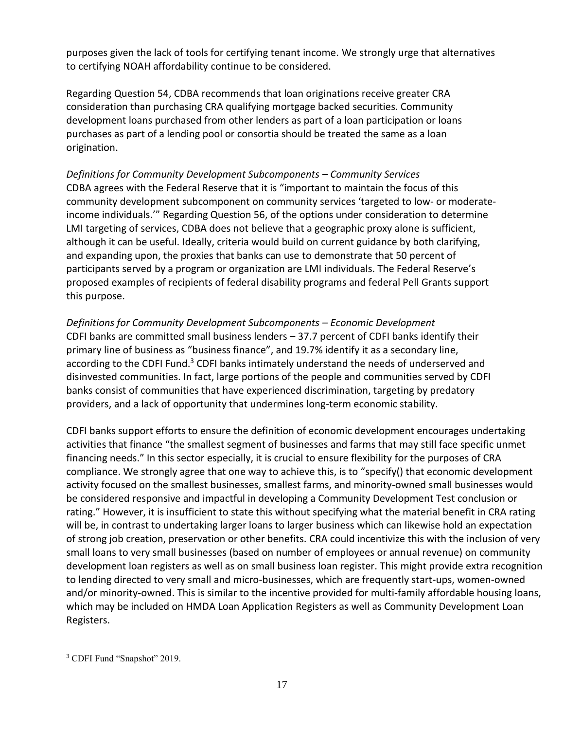purposes given the lack of tools for certifying tenant income. We strongly urge that alternatives to certifying NOAH affordability continue to be considered.

Regarding Question 54, CDBA recommends that loan originations receive greater CRA consideration than purchasing CRA qualifying mortgage backed securities. Community development loans purchased from other lenders as part of a loan participation or loans purchases as part of a lending pool or consortia should be treated the same as a loan origination.

*Definitions for Community Development Subcomponents – Community Services* CDBA agrees with the Federal Reserve that it is "important to maintain the focus of this community development subcomponent on community services 'targeted to low- or moderateincome individuals.'" Regarding Question 56, of the options under consideration to determine LMI targeting of services, CDBA does not believe that a geographic proxy alone is sufficient, although it can be useful. Ideally, criteria would build on current guidance by both clarifying, and expanding upon, the proxies that banks can use to demonstrate that 50 percent of participants served by a program or organization are LMI individuals. The Federal Reserve's proposed examples of recipients of federal disability programs and federal Pell Grants support this purpose.

*Definitions for Community Development Subcomponents – Economic Development* CDFI banks are committed small business lenders – 37.7 percent of CDFI banks identify their primary line of business as "business finance", and 19.7% identify it as a secondary line, according to the CDFI Fund.<sup>3</sup> CDFI banks intimately understand the needs of underserved and disinvested communities. In fact, large portions of the people and communities served by CDFI banks consist of communities that have experienced discrimination, targeting by predatory providers, and a lack of opportunity that undermines long-term economic stability.

CDFI banks support efforts to ensure the definition of economic development encourages undertaking activities that finance "the smallest segment of businesses and farms that may still face specific unmet financing needs." In this sector especially, it is crucial to ensure flexibility for the purposes of CRA compliance. We strongly agree that one way to achieve this, is to "specify() that economic development activity focused on the smallest businesses, smallest farms, and minority-owned small businesses would be considered responsive and impactful in developing a Community Development Test conclusion or rating." However, it is insufficient to state this without specifying what the material benefit in CRA rating will be, in contrast to undertaking larger loans to larger business which can likewise hold an expectation of strong job creation, preservation or other benefits. CRA could incentivize this with the inclusion of very small loans to very small businesses (based on number of employees or annual revenue) on community development loan registers as well as on small business loan register. This might provide extra recognition to lending directed to very small and micro-businesses, which are frequently start-ups, women-owned and/or minority-owned. This is similar to the incentive provided for multi-family affordable housing loans, which may be included on HMDA Loan Application Registers as well as Community Development Loan Registers.

 $\overline{a}$ <sup>3</sup> CDFI Fund "Snapshot" 2019.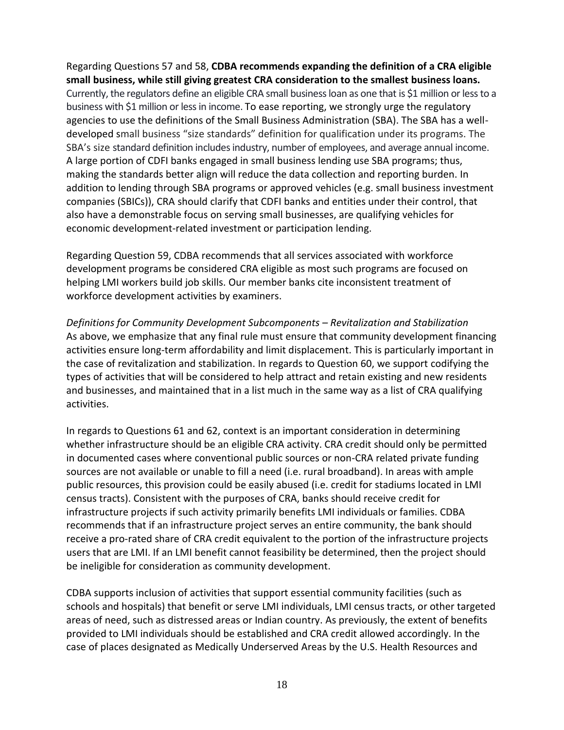Regarding Questions 57 and 58, **CDBA recommends expanding the definition of a CRA eligible small business, while still giving greatest CRA consideration to the smallest business loans.**  Currently, the regulators define an eligible CRA small business loan as one that is \$1 million or less to a business with \$1 million or less in income. To ease reporting, we strongly urge the regulatory agencies to use the definitions of the Small Business Administration (SBA). The SBA has a welldeveloped small business "size standards" definition for qualification under its programs. The SBA's size standard definition includes industry, number of employees, and average annual income. A large portion of CDFI banks engaged in small business lending use SBA programs; thus, making the standards better align will reduce the data collection and reporting burden. In addition to lending through SBA programs or approved vehicles (e.g. small business investment companies (SBICs)), CRA should clarify that CDFI banks and entities under their control, that also have a demonstrable focus on serving small businesses, are qualifying vehicles for economic development-related investment or participation lending.

Regarding Question 59, CDBA recommends that all services associated with workforce development programs be considered CRA eligible as most such programs are focused on helping LMI workers build job skills. Our member banks cite inconsistent treatment of workforce development activities by examiners.

*Definitions for Community Development Subcomponents – Revitalization and Stabilization* As above, we emphasize that any final rule must ensure that community development financing activities ensure long-term affordability and limit displacement. This is particularly important in the case of revitalization and stabilization. In regards to Question 60, we support codifying the types of activities that will be considered to help attract and retain existing and new residents and businesses, and maintained that in a list much in the same way as a list of CRA qualifying activities.

In regards to Questions 61 and 62, context is an important consideration in determining whether infrastructure should be an eligible CRA activity. CRA credit should only be permitted in documented cases where conventional public sources or non-CRA related private funding sources are not available or unable to fill a need (i.e. rural broadband). In areas with ample public resources, this provision could be easily abused (i.e. credit for stadiums located in LMI census tracts). Consistent with the purposes of CRA, banks should receive credit for infrastructure projects if such activity primarily benefits LMI individuals or families. CDBA recommends that if an infrastructure project serves an entire community, the bank should receive a pro-rated share of CRA credit equivalent to the portion of the infrastructure projects users that are LMI. If an LMI benefit cannot feasibility be determined, then the project should be ineligible for consideration as community development.

CDBA supports inclusion of activities that support essential community facilities (such as schools and hospitals) that benefit or serve LMI individuals, LMI census tracts, or other targeted areas of need, such as distressed areas or Indian country. As previously, the extent of benefits provided to LMI individuals should be established and CRA credit allowed accordingly. In the case of places designated as Medically Underserved Areas by the U.S. Health Resources and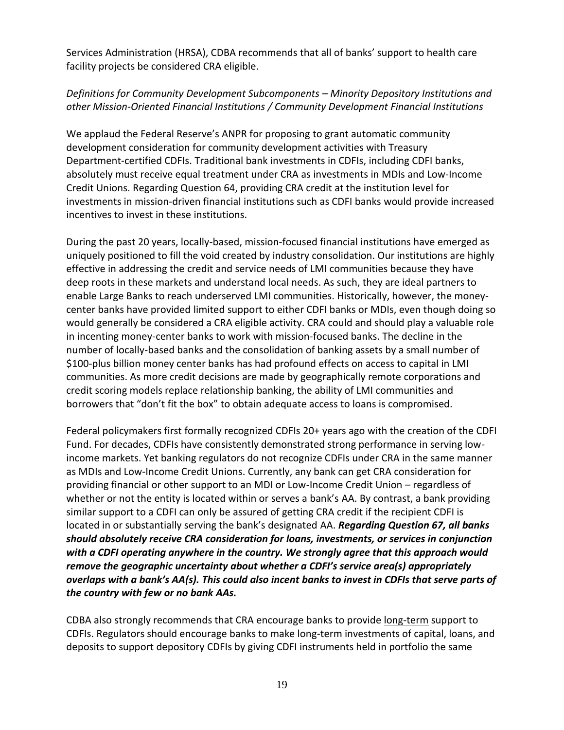Services Administration (HRSA), CDBA recommends that all of banks' support to health care facility projects be considered CRA eligible.

## *Definitions for Community Development Subcomponents – Minority Depository Institutions and other Mission-Oriented Financial Institutions / Community Development Financial Institutions*

We applaud the Federal Reserve's ANPR for proposing to grant automatic community development consideration for community development activities with Treasury Department-certified CDFIs. Traditional bank investments in CDFIs, including CDFI banks, absolutely must receive equal treatment under CRA as investments in MDIs and Low-Income Credit Unions. Regarding Question 64, providing CRA credit at the institution level for investments in mission-driven financial institutions such as CDFI banks would provide increased incentives to invest in these institutions.

During the past 20 years, locally-based, mission-focused financial institutions have emerged as uniquely positioned to fill the void created by industry consolidation. Our institutions are highly effective in addressing the credit and service needs of LMI communities because they have deep roots in these markets and understand local needs. As such, they are ideal partners to enable Large Banks to reach underserved LMI communities. Historically, however, the moneycenter banks have provided limited support to either CDFI banks or MDIs, even though doing so would generally be considered a CRA eligible activity. CRA could and should play a valuable role in incenting money-center banks to work with mission-focused banks. The decline in the number of locally-based banks and the consolidation of banking assets by a small number of \$100-plus billion money center banks has had profound effects on access to capital in LMI communities. As more credit decisions are made by geographically remote corporations and credit scoring models replace relationship banking, the ability of LMI communities and borrowers that "don't fit the box" to obtain adequate access to loans is compromised.

Federal policymakers first formally recognized CDFIs 20+ years ago with the creation of the CDFI Fund. For decades, CDFIs have consistently demonstrated strong performance in serving lowincome markets. Yet banking regulators do not recognize CDFIs under CRA in the same manner as MDIs and Low-Income Credit Unions. Currently, any bank can get CRA consideration for providing financial or other support to an MDI or Low-Income Credit Union – regardless of whether or not the entity is located within or serves a bank's AA. By contrast, a bank providing similar support to a CDFI can only be assured of getting CRA credit if the recipient CDFI is located in or substantially serving the bank's designated AA. *Regarding Question 67, all banks should absolutely receive CRA consideration for loans, investments, or services in conjunction with a CDFI operating anywhere in the country. We strongly agree that this approach would remove the geographic uncertainty about whether a CDFI's service area(s) appropriately overlaps with a bank's AA(s). This could also incent banks to invest in CDFIs that serve parts of the country with few or no bank AAs.*

CDBA also strongly recommends that CRA encourage banks to provide long-term support to CDFIs. Regulators should encourage banks to make long-term investments of capital, loans, and deposits to support depository CDFIs by giving CDFI instruments held in portfolio the same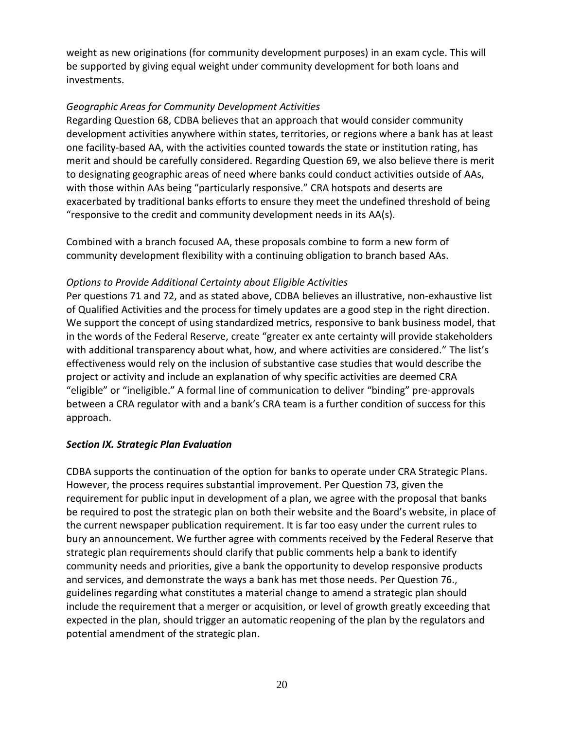weight as new originations (for community development purposes) in an exam cycle. This will be supported by giving equal weight under community development for both loans and investments.

### *Geographic Areas for Community Development Activities*

Regarding Question 68, CDBA believes that an approach that would consider community development activities anywhere within states, territories, or regions where a bank has at least one facility-based AA, with the activities counted towards the state or institution rating, has merit and should be carefully considered. Regarding Question 69, we also believe there is merit to designating geographic areas of need where banks could conduct activities outside of AAs, with those within AAs being "particularly responsive." CRA hotspots and deserts are exacerbated by traditional banks efforts to ensure they meet the undefined threshold of being "responsive to the credit and community development needs in its AA(s).

Combined with a branch focused AA, these proposals combine to form a new form of community development flexibility with a continuing obligation to branch based AAs.

### *Options to Provide Additional Certainty about Eligible Activities*

Per questions 71 and 72, and as stated above, CDBA believes an illustrative, non-exhaustive list of Qualified Activities and the process for timely updates are a good step in the right direction. We support the concept of using standardized metrics, responsive to bank business model, that in the words of the Federal Reserve, create "greater ex ante certainty will provide stakeholders with additional transparency about what, how, and where activities are considered." The list's effectiveness would rely on the inclusion of substantive case studies that would describe the project or activity and include an explanation of why specific activities are deemed CRA "eligible" or "ineligible." A formal line of communication to deliver "binding" pre-approvals between a CRA regulator with and a bank's CRA team is a further condition of success for this approach.

# *Section IX. Strategic Plan Evaluation*

CDBA supports the continuation of the option for banks to operate under CRA Strategic Plans. However, the process requires substantial improvement. Per Question 73, given the requirement for public input in development of a plan, we agree with the proposal that banks be required to post the strategic plan on both their website and the Board's website, in place of the current newspaper publication requirement. It is far too easy under the current rules to bury an announcement. We further agree with comments received by the Federal Reserve that strategic plan requirements should clarify that public comments help a bank to identify community needs and priorities, give a bank the opportunity to develop responsive products and services, and demonstrate the ways a bank has met those needs. Per Question 76., guidelines regarding what constitutes a material change to amend a strategic plan should include the requirement that a merger or acquisition, or level of growth greatly exceeding that expected in the plan, should trigger an automatic reopening of the plan by the regulators and potential amendment of the strategic plan.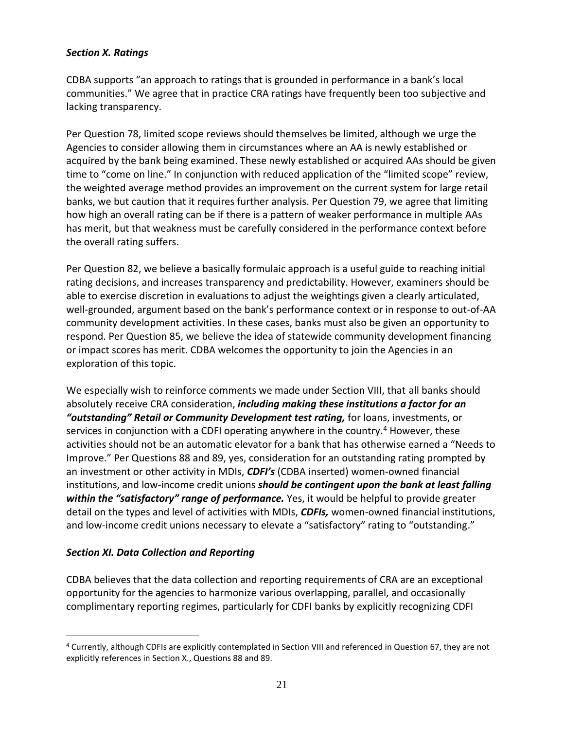#### *Section X. Ratings*

CDBA supports "an approach to ratings that is grounded in performance in a bank's local communities." We agree that in practice CRA ratings have frequently been too subjective and lacking transparency.

Per Question 78, limited scope reviews should themselves be limited, although we urge the Agencies to consider allowing them in circumstances where an AA is newly established or acquired by the bank being examined. These newly established or acquired AAs should be given time to "come on line." In conjunction with reduced application of the "limited scope" review, the weighted average method provides an improvement on the current system for large retail banks, we but caution that it requires further analysis. Per Question 79, we agree that limiting how high an overall rating can be if there is a pattern of weaker performance in multiple AAs has merit, but that weakness must be carefully considered in the performance context before the overall rating suffers.

Per Question 82, we believe a basically formulaic approach is a useful guide to reaching initial rating decisions, and increases transparency and predictability. However, examiners should be able to exercise discretion in evaluations to adjust the weightings given a clearly articulated, well-grounded, argument based on the bank's performance context or in response to out-of-AA community development activities. In these cases, banks must also be given an opportunity to respond. Per Question 85, we believe the idea of statewide community development financing or impact scores has merit. CDBA welcomes the opportunity to join the Agencies in an exploration of this topic.

We especially wish to reinforce comments we made under Section VIII, that all banks should absolutely receive CRA consideration, *including making these institutions a factor for an "outstanding" Retail or Community Development test rating,* for loans, investments, or services in conjunction with a CDFI operating anywhere in the country.<sup>4</sup> However, these activities should not be an automatic elevator for a bank that has otherwise earned a "Needs to Improve." Per Questions 88 and 89, yes, consideration for an outstanding rating prompted by an investment or other activity in MDIs, *CDFI's* (CDBA inserted) women-owned financial institutions, and low-income credit unions *should be contingent upon the bank at least falling within the "satisfactory" range of performance.* Yes, it would be helpful to provide greater detail on the types and level of activities with MDIs, *CDFIs,* women-owned financial institutions, and low-income credit unions necessary to elevate a "satisfactory" rating to "outstanding."

### *Section XI. Data Collection and Reporting*

 $\overline{a}$ 

CDBA believes that the data collection and reporting requirements of CRA are an exceptional opportunity for the agencies to harmonize various overlapping, parallel, and occasionally complimentary reporting regimes, particularly for CDFI banks by explicitly recognizing CDFI

<sup>4</sup> Currently, although CDFIs are explicitly contemplated in Section VIII and referenced in Question 67, they are not explicitly references in Section X., Questions 88 and 89.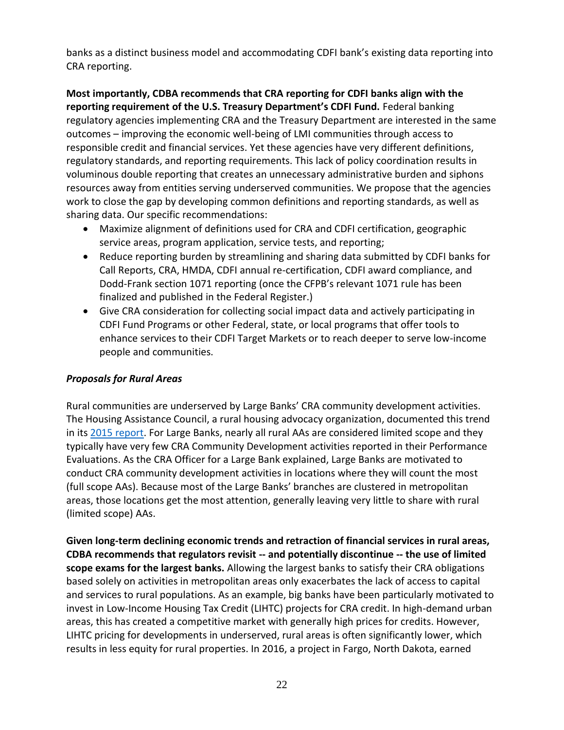banks as a distinct business model and accommodating CDFI bank's existing data reporting into CRA reporting.

**Most importantly, CDBA recommends that CRA reporting for CDFI banks align with the reporting requirement of the U.S. Treasury Department's CDFI Fund.** Federal banking regulatory agencies implementing CRA and the Treasury Department are interested in the same outcomes – improving the economic well-being of LMI communities through access to responsible credit and financial services. Yet these agencies have very different definitions, regulatory standards, and reporting requirements. This lack of policy coordination results in voluminous double reporting that creates an unnecessary administrative burden and siphons resources away from entities serving underserved communities. We propose that the agencies work to close the gap by developing common definitions and reporting standards, as well as sharing data. Our specific recommendations:

- Maximize alignment of definitions used for CRA and CDFI certification, geographic service areas, program application, service tests, and reporting;
- Reduce reporting burden by streamlining and sharing data submitted by CDFI banks for Call Reports, CRA, HMDA, CDFI annual re-certification, CDFI award compliance, and Dodd-Frank section 1071 reporting (once the CFPB's relevant 1071 rule has been finalized and published in the Federal Register.)
- Give CRA consideration for collecting social impact data and actively participating in CDFI Fund Programs or other Federal, state, or local programs that offer tools to enhance services to their CDFI Target Markets or to reach deeper to serve low-income people and communities.

### *Proposals for Rural Areas*

Rural communities are underserved by Large Banks' CRA community development activities. The Housing Assistance Council, a rural housing advocacy organization, documented this trend in its [2015 report.](http://www.ruralhome.org/sct-information/mn-hac-research/mn-rrr/1090-rrr-cra-in-rural-america) For Large Banks, nearly all rural AAs are considered limited scope and they typically have very few CRA Community Development activities reported in their Performance Evaluations. As the CRA Officer for a Large Bank explained, Large Banks are motivated to conduct CRA community development activities in locations where they will count the most (full scope AAs). Because most of the Large Banks' branches are clustered in metropolitan areas, those locations get the most attention, generally leaving very little to share with rural (limited scope) AAs.

**Given long-term declining economic trends and retraction of financial services in rural areas, CDBA recommends that regulators revisit -- and potentially discontinue -- the use of limited scope exams for the largest banks.** Allowing the largest banks to satisfy their CRA obligations based solely on activities in metropolitan areas only exacerbates the lack of access to capital and services to rural populations. As an example, big banks have been particularly motivated to invest in Low-Income Housing Tax Credit (LIHTC) projects for CRA credit. In high-demand urban areas, this has created a competitive market with generally high prices for credits. However, LIHTC pricing for developments in underserved, rural areas is often significantly lower, which results in less equity for rural properties. In 2016, a project in Fargo, North Dakota, earned